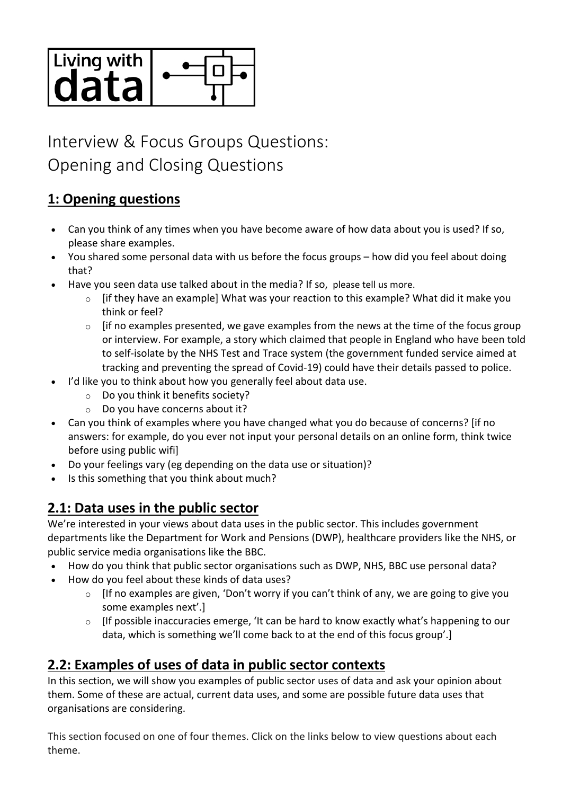

# Interview & Focus Groups Questions: Opening and Closing Questions

## **1: Opening questions**

- Can you think of any times when you have become aware of how data about you is used? If so, please share examples.
- You shared some personal data with us before the focus groups how did you feel about doing that?
- Have you seen data use talked about in the media? If so, please tell us more.
	- $\circ$  [if they have an example] What was your reaction to this example? What did it make you think or feel?
	- $\circ$  [if no examples presented, we gave examples from the news at the time of the focus group or interview. For example, a story which claimed that people in England who have been told to self-isolate by the NHS Test and Trace system (the government funded service aimed at tracking and preventing the spread of Covid-19) could have their details passed to police.
- I'd like you to think about how you generally feel about data use.
	- o Do you think it benefits society?
	- o Do you have concerns about it?
- Can you think of examples where you have changed what you do because of concerns? [if no answers: for example, do you ever not input your personal details on an online form, think twice before using public wifi]
- Do your feelings vary (eg depending on the data use or situation)?
- Is this something that you think about much?

# **2.1: Data uses in the public sector**

We're interested in your views about data uses in the public sector. This includes government departments like the Department for Work and Pensions (DWP), healthcare providers like the NHS, or public service media organisations like the BBC.

- How do you think that public sector organisations such as DWP, NHS, BBC use personal data?
- How do you feel about these kinds of data uses?
	- $\circ$  [If no examples are given, 'Don't worry if you can't think of any, we are going to give you some examples next'.]
	- o [If possible inaccuracies emerge, 'It can be hard to know exactly what's happening to our data, which is something we'll come back to at the end of this focus group'.]

### **2.2: Examples of uses of data in public sector contexts**

In this section, we will show you examples of public sector uses of data and ask your opinion about them. Some of these are actual, current data uses, and some are possible future data uses that organisations are considering.

This section focused on one of four themes. Click on the links below to view questions about each theme.